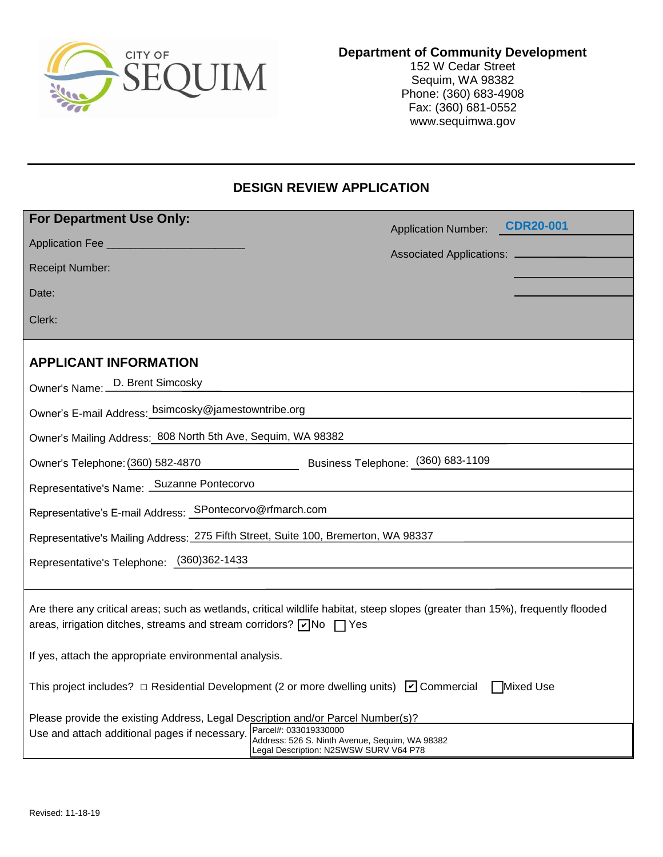

### **Department of Community Development**

152 W Cedar Street Sequim, WA 98382 Phone: (360) 683-4908 Fax: (360) 681-0552 www.sequimwa.gov

## **DESIGN REVIEW APPLICATION**

| For Department Use Only:                                                                                                                                                                                                                  | <b>CDR20-001</b>                   |
|-------------------------------------------------------------------------------------------------------------------------------------------------------------------------------------------------------------------------------------------|------------------------------------|
| Application Fee                                                                                                                                                                                                                           | <b>Application Number:</b>         |
| <b>Receipt Number:</b>                                                                                                                                                                                                                    | Associated Applications: _________ |
| Date:                                                                                                                                                                                                                                     |                                    |
| Clerk:                                                                                                                                                                                                                                    |                                    |
| <b>APPLICANT INFORMATION</b>                                                                                                                                                                                                              |                                    |
| Owner's Name: D. Brent Simcosky                                                                                                                                                                                                           |                                    |
| Owner's E-mail Address: bsimcosky@jamestowntribe.org                                                                                                                                                                                      |                                    |
| Owner's Mailing Address: 808 North 5th Ave, Sequim, WA 98382                                                                                                                                                                              |                                    |
| Owner's Telephone: (360) 582-4870                                                                                                                                                                                                         | Business Telephone: (360) 683-1109 |
| Representative's Name: Suzanne Pontecorvo                                                                                                                                                                                                 |                                    |
| Representative's E-mail Address: SPontecorvo@rfmarch.com                                                                                                                                                                                  |                                    |
| Representative's Mailing Address: 275 Fifth Street, Suite 100, Bremerton, WA 98337                                                                                                                                                        |                                    |
| Representative's Telephone: (360)362-1433                                                                                                                                                                                                 |                                    |
|                                                                                                                                                                                                                                           |                                    |
| Are there any critical areas; such as wetlands, critical wildlife habitat, steep slopes (greater than 15%), frequently flooded<br>areas, irrigation ditches, streams and stream corridors? $\boxed{\check{}}$ No $\boxed{\phantom{}}$ Yes |                                    |
| If yes, attach the appropriate environmental analysis.                                                                                                                                                                                    |                                    |
| This project includes? $\Box$ Residential Development (2 or more dwelling units) $\Box$ Commercial<br>Mixed Use                                                                                                                           |                                    |
| Please provide the existing Address, Legal Description and/or Parcel Number(s)?<br>Parcel#: 033019330000                                                                                                                                  |                                    |
| Use and attach additional pages if necessary.<br>Address: 526 S. Ninth Avenue, Sequim, WA 98382<br>Legal Description: N2SWSW SURV V64 P78                                                                                                 |                                    |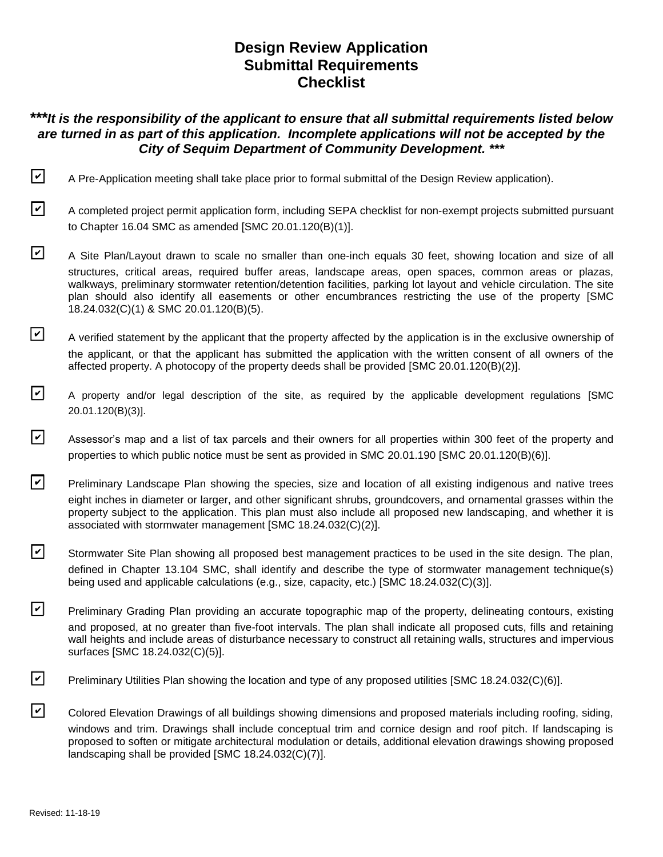# **Design Review Application Submittal Requirements Checklist**

## *\*\*\*It is the responsibility of the applicant to ensure that all submittal requirements listed below are turned in as part of this application. Incomplete applications will not be accepted by the City of Sequim Department of Community Development. \*\*\**

- **D** A Pre-Application meeting shall take place prior to formal submittal of the Design Review application).
- $\triangledown$  A completed project permit application form, including SEPA checklist for non-exempt projects submitted pursuant to Chapter [16.04](https://www.codepublishing.com/WA/Sequim/html/Sequim16/Sequim1604.html#16.04) SMC as amended [SMC 20.01.120(B)(1)].
- □ A Site Plan/Layout drawn to scale no smaller than one-inch equals 30 feet, showing location and size of all structures, critical areas, required buffer areas, landscape areas, open spaces, common areas or plazas, walkways, preliminary stormwater retention/detention facilities, parking lot layout and vehicle circulation. The site plan should also identify all easements or other encumbrances restricting the use of the property [SMC 18.24.032(C)(1) & SMC 20.01.120(B)(5).
- $\Box$  A verified statement by the applicant that the property affected by the application is in the exclusive ownership of the applicant, or that the applicant has submitted the application with the written consent of all owners of the affected property. A photocopy of the property deeds shall be provided [SMC 20.01.120(B)(2)].
- □ A property and/or legal description of the site, as required by the applicable development regulations [SMC 20.01.120(B)(3)].
- $\triangledown$  Assessor's map and a list of tax parcels and their owners for all properties within 300 feet of the property and properties to which public notice must be sent as provided in SMC [20.01.190](https://www.codepublishing.com/WA/Sequim/html/Sequim20/Sequim2001.html#20.01.190) [SMC 20.01.120(B)(6)].
- $\triangledown$  Preliminary Landscape Plan showing the species, size and location of all existing indigenous and native trees eight inches in diameter or larger, and other significant shrubs, groundcovers, and ornamental grasses within the property subject to the application. This plan must also include all proposed new landscaping, and whether it is associated with stormwater management [SMC 18.24.032(C)(2)].
- $\triangledown$  Stormwater Site Plan showing all proposed best management practices to be used in the site design. The plan, defined in Chapter [13.104](https://www.codepublishing.com/WA/Sequim/html/Sequim13/Sequim13104.html#13.104) SMC, shall identify and describe the type of stormwater management technique(s) being used and applicable calculations (e.g., size, capacity, etc.) [SMC 18.24.032(C)(3)].
- Preliminary Grading Plan providing an accurate topographic map of the property, delineating contours, existing and proposed, at no greater than five-foot intervals. The plan shall indicate all proposed cuts, fills and retaining wall heights and include areas of disturbance necessary to construct all retaining walls, structures and impervious surfaces [SMC 18.24.032(C)(5)].
- Preliminary Utilities Plan showing the location and type of any proposed utilities [SMC 18.24.032(C)(6)].
- $\triangledown$  Colored Elevation Drawings of all buildings showing dimensions and proposed materials including roofing, siding, windows and trim. Drawings shall include conceptual trim and cornice design and roof pitch. If landscaping is proposed to soften or mitigate architectural modulation or details, additional elevation drawings showing proposed landscaping shall be provided [SMC 18.24.032(C)(7)].